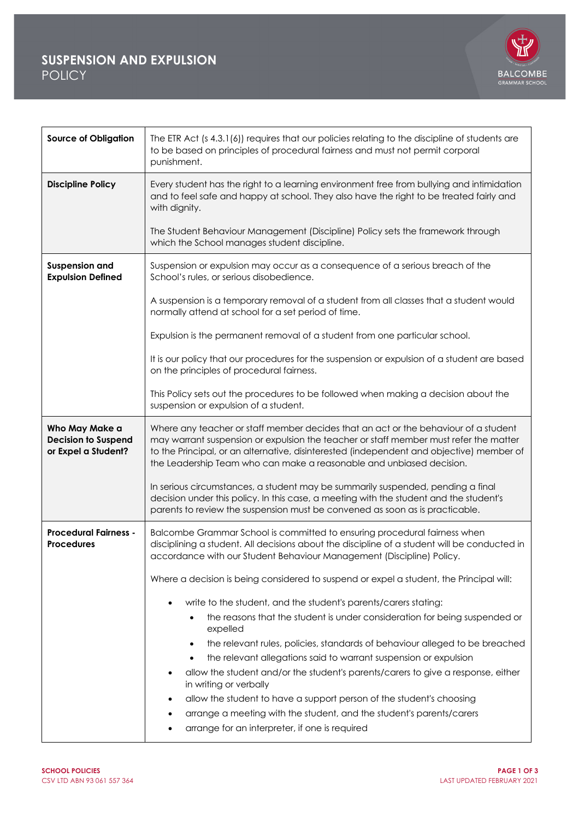## **SUSPENSION AND EXPULSION** POLICY



| <b>Source of Obligation</b>                                         | The ETR Act (s 4.3.1(6)) requires that our policies relating to the discipline of students are<br>to be based on principles of procedural fairness and must not permit corporal<br>punishment.                                                                                                                                                   |
|---------------------------------------------------------------------|--------------------------------------------------------------------------------------------------------------------------------------------------------------------------------------------------------------------------------------------------------------------------------------------------------------------------------------------------|
| <b>Discipline Policy</b>                                            | Every student has the right to a learning environment free from bullying and intimidation<br>and to feel safe and happy at school. They also have the right to be treated fairly and<br>with dignity.                                                                                                                                            |
|                                                                     | The Student Behaviour Management (Discipline) Policy sets the framework through<br>which the School manages student discipline.                                                                                                                                                                                                                  |
| <b>Suspension and</b><br><b>Expulsion Defined</b>                   | Suspension or expulsion may occur as a consequence of a serious breach of the<br>School's rules, or serious disobedience.                                                                                                                                                                                                                        |
|                                                                     | A suspension is a temporary removal of a student from all classes that a student would<br>normally attend at school for a set period of time.                                                                                                                                                                                                    |
|                                                                     | Expulsion is the permanent removal of a student from one particular school.                                                                                                                                                                                                                                                                      |
|                                                                     | It is our policy that our procedures for the suspension or expulsion of a student are based<br>on the principles of procedural fairness.                                                                                                                                                                                                         |
|                                                                     | This Policy sets out the procedures to be followed when making a decision about the<br>suspension or expulsion of a student.                                                                                                                                                                                                                     |
| Who May Make a<br><b>Decision to Suspend</b><br>or Expel a Student? | Where any teacher or staff member decides that an act or the behaviour of a student<br>may warrant suspension or expulsion the teacher or staff member must refer the matter<br>to the Principal, or an alternative, disinterested (independent and objective) member of<br>the Leadership Team who can make a reasonable and unbiased decision. |
|                                                                     | In serious circumstances, a student may be summarily suspended, pending a final<br>decision under this policy. In this case, a meeting with the student and the student's<br>parents to review the suspension must be convened as soon as is practicable.                                                                                        |
| <b>Procedural Fairness -</b><br><b>Procedures</b>                   | Balcombe Grammar School is committed to ensuring procedural fairness when<br>disciplining a student. All decisions about the discipline of a student will be conducted in<br>accordance with our Student Behaviour Management (Discipline) Policy.                                                                                               |
|                                                                     | Where a decision is being considered to suspend or expel a student, the Principal will:                                                                                                                                                                                                                                                          |
|                                                                     | write to the student, and the student's parents/carers stating:<br>$\bullet$                                                                                                                                                                                                                                                                     |
|                                                                     | the reasons that the student is under consideration for being suspended or<br>expelled                                                                                                                                                                                                                                                           |
|                                                                     | the relevant rules, policies, standards of behaviour alleged to be breached<br>٠                                                                                                                                                                                                                                                                 |
|                                                                     | the relevant allegations said to warrant suspension or expulsion                                                                                                                                                                                                                                                                                 |
|                                                                     | allow the student and/or the student's parents/carers to give a response, either<br>in writing or verbally                                                                                                                                                                                                                                       |
|                                                                     | allow the student to have a support person of the student's choosing<br>$\bullet$                                                                                                                                                                                                                                                                |
|                                                                     | arrange a meeting with the student, and the student's parents/carers                                                                                                                                                                                                                                                                             |
|                                                                     | arrange for an interpreter, if one is required<br>$\bullet$                                                                                                                                                                                                                                                                                      |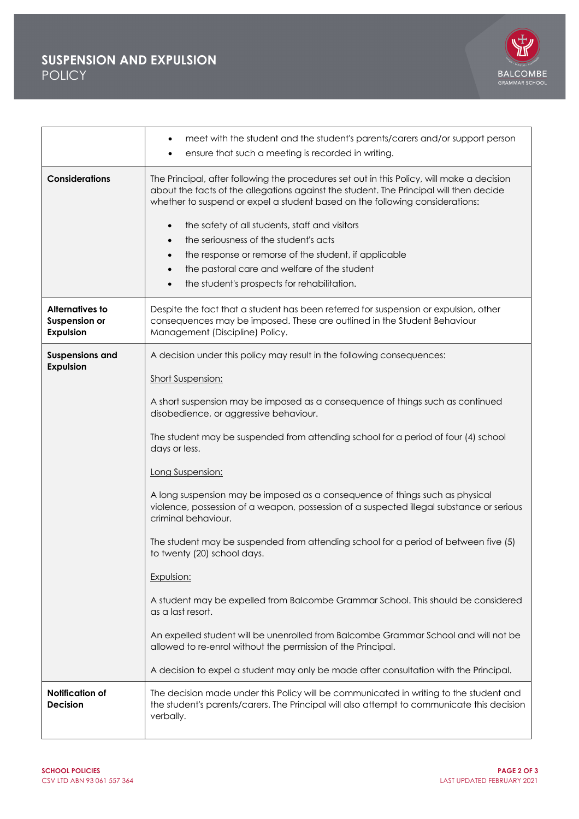## **SUSPENSION AND EXPULSION POLICY**



|                                                                    | meet with the student and the student's parents/carers and/or support person<br>٠<br>ensure that such a meeting is recorded in writing.                                                                                                                                                                                                                                                                                                                                                                                      |
|--------------------------------------------------------------------|------------------------------------------------------------------------------------------------------------------------------------------------------------------------------------------------------------------------------------------------------------------------------------------------------------------------------------------------------------------------------------------------------------------------------------------------------------------------------------------------------------------------------|
| <b>Considerations</b>                                              | The Principal, after following the procedures set out in this Policy, will make a decision<br>about the facts of the allegations against the student. The Principal will then decide<br>whether to suspend or expel a student based on the following considerations:<br>the safety of all students, staff and visitors<br>$\bullet$<br>the seriousness of the student's acts<br>$\bullet$<br>the response or remorse of the student, if applicable<br>$\bullet$<br>the pastoral care and welfare of the student<br>$\bullet$ |
|                                                                    | the student's prospects for rehabilitation.                                                                                                                                                                                                                                                                                                                                                                                                                                                                                  |
| <b>Alternatives to</b><br><b>Suspension or</b><br><b>Expulsion</b> | Despite the fact that a student has been referred for suspension or expulsion, other<br>consequences may be imposed. These are outlined in the Student Behaviour<br>Management (Discipline) Policy.                                                                                                                                                                                                                                                                                                                          |
| <b>Suspensions and</b><br><b>Expulsion</b>                         | A decision under this policy may result in the following consequences:<br>Short Suspension:<br>A short suspension may be imposed as a consequence of things such as continued<br>disobedience, or aggressive behaviour.                                                                                                                                                                                                                                                                                                      |
|                                                                    | The student may be suspended from attending school for a period of four (4) school<br>days or less.                                                                                                                                                                                                                                                                                                                                                                                                                          |
|                                                                    | Long Suspension:                                                                                                                                                                                                                                                                                                                                                                                                                                                                                                             |
|                                                                    | A long suspension may be imposed as a consequence of things such as physical<br>violence, possession of a weapon, possession of a suspected illegal substance or serious<br>criminal behaviour.                                                                                                                                                                                                                                                                                                                              |
|                                                                    | The student may be suspended from attending school for a period of between five (5)<br>to twenty (20) school days.                                                                                                                                                                                                                                                                                                                                                                                                           |
|                                                                    | Expulsion:                                                                                                                                                                                                                                                                                                                                                                                                                                                                                                                   |
|                                                                    | A student may be expelled from Balcombe Grammar School. This should be considered<br>as a last resort.                                                                                                                                                                                                                                                                                                                                                                                                                       |
|                                                                    | An expelled student will be unenrolled from Balcombe Grammar School and will not be<br>allowed to re-enrol without the permission of the Principal.                                                                                                                                                                                                                                                                                                                                                                          |
|                                                                    | A decision to expel a student may only be made after consultation with the Principal.                                                                                                                                                                                                                                                                                                                                                                                                                                        |
| Notification of<br><b>Decision</b>                                 | The decision made under this Policy will be communicated in writing to the student and<br>the student's parents/carers. The Principal will also attempt to communicate this decision<br>verbally.                                                                                                                                                                                                                                                                                                                            |